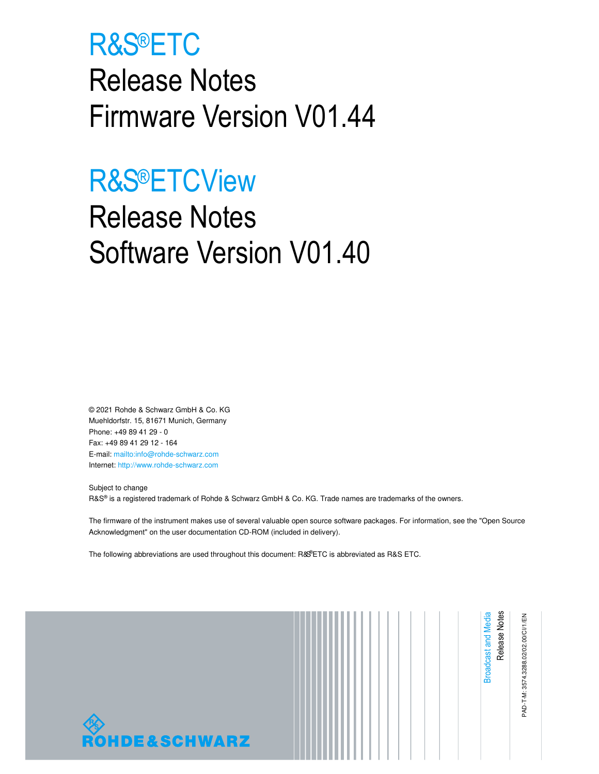# R&S®ETC

Release Notes Firmware Version V01.44

# R&S®ETCView

# Release Notes Software Version V01.40

© 2021 Rohde & Schwarz GmbH & Co. KG Muehldorfstr. 15, 81671 Munich, Germany Phone: +49 89 41 29 - 0 Fax: +49 89 41 29 12 - 164 E-mail: mailto:info@rohde-schwarz.com Internet: http://www.rohde-schwarz.com

Subject to change R&S® is a registered trademark of Rohde & Schwarz GmbH & Co. KG. Trade names are trademarks of the owners.

The firmware of the instrument makes use of several valuable open source software packages. For information, see the "Open Source Acknowledgment" on the user documentation CD-ROM (included in delivery).

The following abbreviations are used throughout this document: R&S®ETC is abbreviated as R&S ETC.

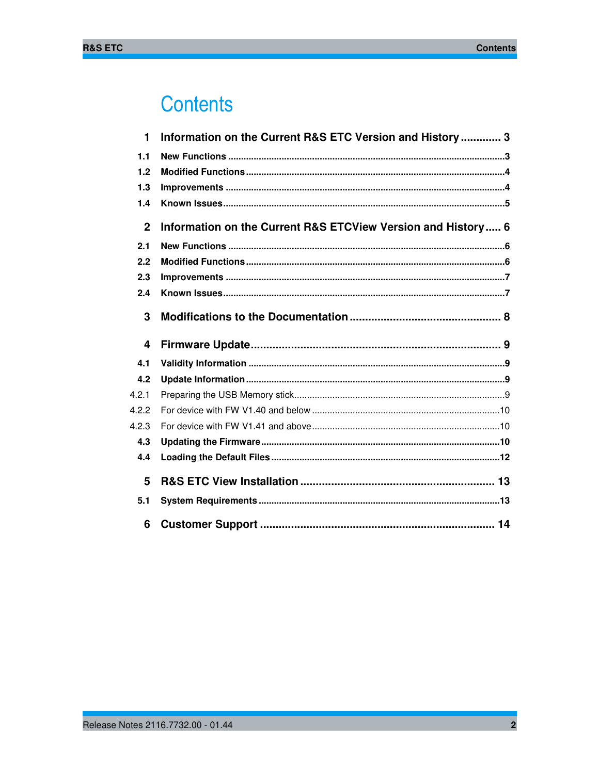# **Contents**

| 1            | Information on the Current R&S ETC Version and History 3     |
|--------------|--------------------------------------------------------------|
| 1.1          |                                                              |
| 1.2          |                                                              |
| 1.3          |                                                              |
| 1.4          |                                                              |
| $\mathbf{2}$ | Information on the Current R&S ETCView Version and History 6 |
| 2.1          |                                                              |
| 2.2          |                                                              |
| 2.3          |                                                              |
| 2.4          |                                                              |
| 3            |                                                              |
|              |                                                              |
| 4            |                                                              |
| 4.1          |                                                              |
| 4.2          |                                                              |
| 4.2.1        |                                                              |
| 4.2.2        |                                                              |
| 4.2.3        |                                                              |
| 4.3          |                                                              |
| 4.4          |                                                              |
| 5            |                                                              |
| 5.1          |                                                              |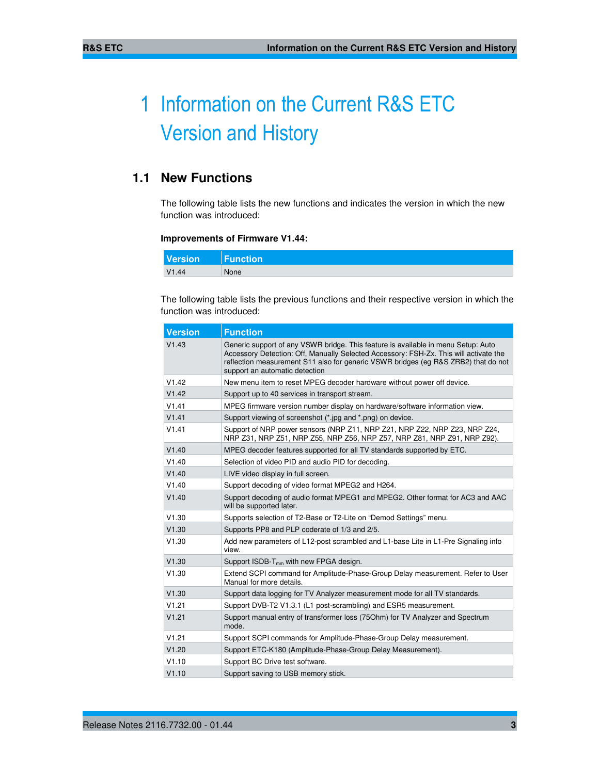# 1 Information on the Current R&S ETC Version and History

# **1.1 New Functions**

The following table lists the new functions and indicates the version in which the new function was introduced:

### **Improvements of Firmware V1.44:**

| <b>Version</b> | Function |
|----------------|----------|
| V1.44          | None     |

The following table lists the previous functions and their respective version in which the function was introduced:

| <b>Version</b> | <b>Function</b>                                                                                                                                                                                                                                                                                    |
|----------------|----------------------------------------------------------------------------------------------------------------------------------------------------------------------------------------------------------------------------------------------------------------------------------------------------|
| V1.43          | Generic support of any VSWR bridge. This feature is available in menu Setup: Auto<br>Accessory Detection: Off, Manually Selected Accessory: FSH-Zx. This will activate the<br>reflection measurement S11 also for generic VSWR bridges (eg R&S ZRB2) that do not<br>support an automatic detection |
| V1.42          | New menu item to reset MPEG decoder hardware without power off device.                                                                                                                                                                                                                             |
| V1.42          | Support up to 40 services in transport stream.                                                                                                                                                                                                                                                     |
| V1.41          | MPEG firmware version number display on hardware/software information view.                                                                                                                                                                                                                        |
| V1.41          | Support viewing of screenshot (*.jpg and *.png) on device.                                                                                                                                                                                                                                         |
| V1.41          | Support of NRP power sensors (NRP Z11, NRP Z21, NRP Z22, NRP Z23, NRP Z24,<br>NRP Z31, NRP Z51, NRP Z55, NRP Z56, NRP Z57, NRP Z81, NRP Z91, NRP Z92).                                                                                                                                             |
| V1.40          | MPEG decoder features supported for all TV standards supported by ETC.                                                                                                                                                                                                                             |
| V1.40          | Selection of video PID and audio PID for decoding.                                                                                                                                                                                                                                                 |
| V1.40          | LIVE video display in full screen.                                                                                                                                                                                                                                                                 |
| V1.40          | Support decoding of video format MPEG2 and H264.                                                                                                                                                                                                                                                   |
| V1.40          | Support decoding of audio format MPEG1 and MPEG2. Other format for AC3 and AAC<br>will be supported later.                                                                                                                                                                                         |
| V1.30          | Supports selection of T2-Base or T2-Lite on "Demod Settings" menu.                                                                                                                                                                                                                                 |
| V1.30          | Supports PP8 and PLP coderate of 1/3 and 2/5.                                                                                                                                                                                                                                                      |
| V1.30          | Add new parameters of L12-post scrambled and L1-base Lite in L1-Pre Signaling info<br>view.                                                                                                                                                                                                        |
| V1.30          | Support $ISDB-T_{mm}$ with new FPGA design.                                                                                                                                                                                                                                                        |
| V1.30          | Extend SCPI command for Amplitude-Phase-Group Delay measurement. Refer to User<br>Manual for more details.                                                                                                                                                                                         |
| V1.30          | Support data logging for TV Analyzer measurement mode for all TV standards.                                                                                                                                                                                                                        |
| V1.21          | Support DVB-T2 V1.3.1 (L1 post-scrambling) and ESR5 measurement.                                                                                                                                                                                                                                   |
| V1.21          | Support manual entry of transformer loss (750hm) for TV Analyzer and Spectrum<br>mode.                                                                                                                                                                                                             |
| V1.21          | Support SCPI commands for Amplitude-Phase-Group Delay measurement.                                                                                                                                                                                                                                 |
| V1.20          | Support ETC-K180 (Amplitude-Phase-Group Delay Measurement).                                                                                                                                                                                                                                        |
| V1.10          | Support BC Drive test software.                                                                                                                                                                                                                                                                    |
| V1.10          | Support saving to USB memory stick.                                                                                                                                                                                                                                                                |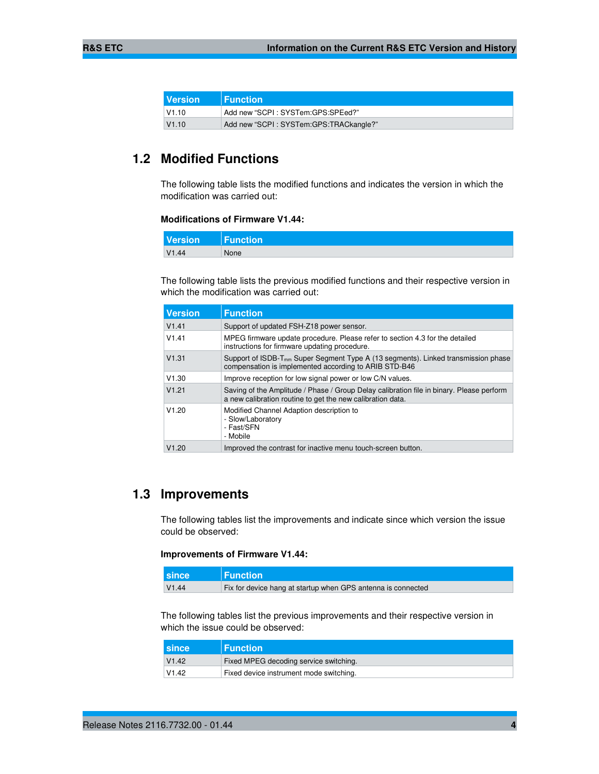| <b>Version</b> | <b>Function</b>                        |
|----------------|----------------------------------------|
| $\sqrt{1.10}$  | Add new "SCPI: SYSTem:GPS:SPEed?"      |
| V1.10          | Add new "SCPI: SYSTem:GPS:TRACkangle?" |

# **1.2 Modified Functions**

The following table lists the modified functions and indicates the version in which the modification was carried out:

#### **Modifications of Firmware V1.44:**

| <b>Version</b> | <b>Function</b> |
|----------------|-----------------|
| V1.44          | None            |

The following table lists the previous modified functions and their respective version in which the modification was carried out:

| <b>Version</b> | <b>Function</b>                                                                                                                                        |
|----------------|--------------------------------------------------------------------------------------------------------------------------------------------------------|
| V1.41          | Support of updated FSH-Z18 power sensor.                                                                                                               |
| V1.41          | MPEG firmware update procedure. Please refer to section 4.3 for the detailed<br>instructions for firmware updating procedure.                          |
| V1.31          | Support of ISDB-T <sub>mm</sub> Super Segment Type A (13 segments). Linked transmission phase<br>compensation is implemented according to ARIB STD-B46 |
| V1.30          | Improve reception for low signal power or low C/N values.                                                                                              |
| V1.21          | Saving of the Amplitude / Phase / Group Delay calibration file in binary. Please perform<br>a new calibration routine to get the new calibration data. |
| V1.20          | Modified Channel Adaption description to<br>- Slow/Laboratory<br>- Fast/SFN<br>- Mobile                                                                |
| V1.20          | Improved the contrast for inactive menu touch-screen button.                                                                                           |

### **1.3 Improvements**

The following tables list the improvements and indicate since which version the issue could be observed:

### **Improvements of Firmware V1.44:**

| <b>Lsince</b> | <b>Function</b>                                              |
|---------------|--------------------------------------------------------------|
| V1.44         | Fix for device hang at startup when GPS antenna is connected |

The following tables list the previous improvements and their respective version in which the issue could be observed:

| I since | <b>⊩Function</b>                        |
|---------|-----------------------------------------|
| V1.42   | Fixed MPEG decoding service switching.  |
| V1.42   | Fixed device instrument mode switching. |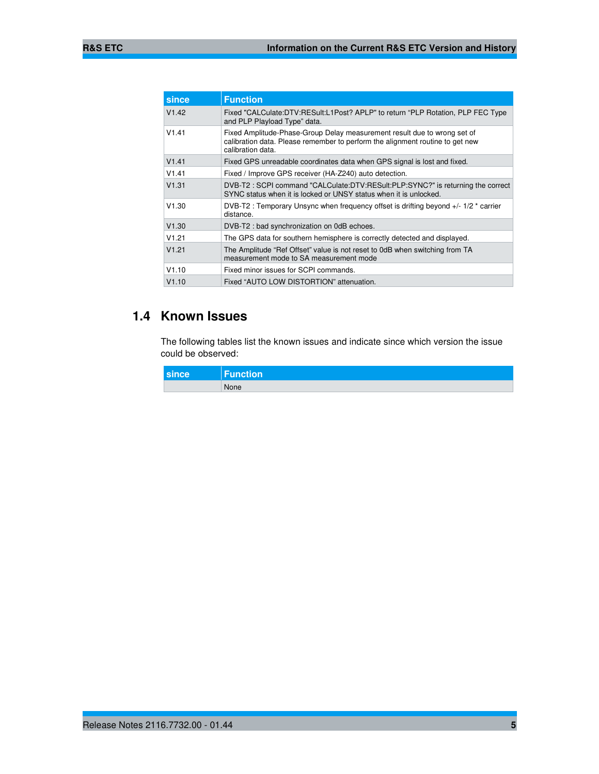| since | <b>Function</b>                                                                                                                                                                |
|-------|--------------------------------------------------------------------------------------------------------------------------------------------------------------------------------|
| V1.42 | Fixed "CALCulate:DTV:RESult:L1Post? APLP" to return "PLP Rotation, PLP FEC Type<br>and PLP Playload Type" data.                                                                |
| V1.41 | Fixed Amplitude-Phase-Group Delay measurement result due to wrong set of<br>calibration data. Please remember to perform the alignment routine to get new<br>calibration data. |
| V1.41 | Fixed GPS unreadable coordinates data when GPS signal is lost and fixed.                                                                                                       |
| V1.41 | Fixed / Improve GPS receiver (HA-Z240) auto detection.                                                                                                                         |
| V1.31 | DVB-T2: SCPI command "CALCulate:DTV:RESult:PLP:SYNC?" is returning the correct<br>SYNC status when it is locked or UNSY status when it is unlocked.                            |
| V1.30 | DVB-T2 : Temporary Unsync when frequency offset is drifting beyond +/- 1/2 * carrier<br>distance.                                                                              |
| V1.30 | DVB-T2 : bad synchronization on 0dB echoes.                                                                                                                                    |
| V1.21 | The GPS data for southern hemisphere is correctly detected and displayed.                                                                                                      |
| V1.21 | The Amplitude "Ref Offset" value is not reset to 0dB when switching from TA<br>measurement mode to SA measurement mode                                                         |
| V1.10 | Fixed minor issues for SCPI commands.                                                                                                                                          |
| V1.10 | Fixed "AUTO LOW DISTORTION" attenuation.                                                                                                                                       |

# **1.4 Known Issues**

The following tables list the known issues and indicate since which version the issue could be observed:

| since | Function |
|-------|----------|
|       | None     |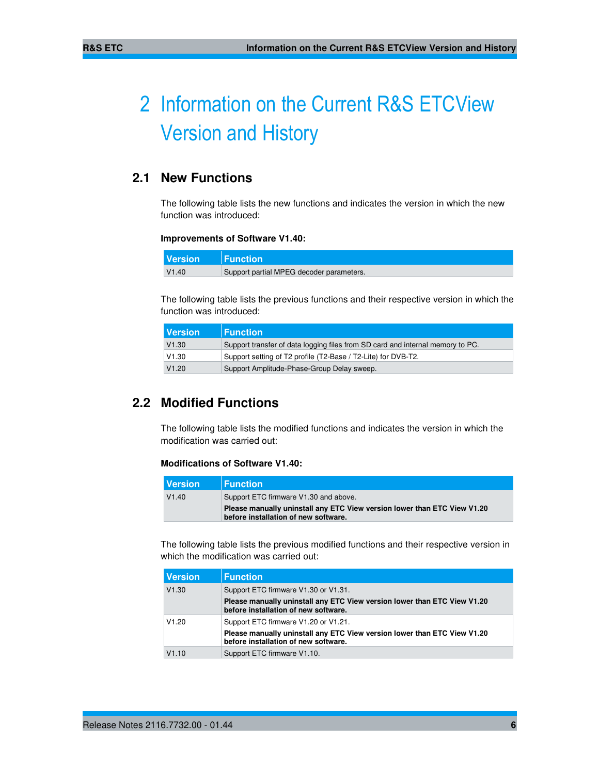# 2 Information on the Current R&S ETCView Version and History

# **2.1 New Functions**

The following table lists the new functions and indicates the version in which the new function was introduced:

### **Improvements of Software V1.40:**

| <b>Version</b> | $\blacksquare$ Function $\blacksquare$   |
|----------------|------------------------------------------|
| V1.40          | Support partial MPEG decoder parameters. |

The following table lists the previous functions and their respective version in which the function was introduced:

| l Version | <b>Function</b>                                                                |
|-----------|--------------------------------------------------------------------------------|
| V1.30     | Support transfer of data logging files from SD card and internal memory to PC. |
| V1.30     | Support setting of T2 profile (T2-Base / T2-Lite) for DVB-T2.                  |
| V1.20     | Support Amplitude-Phase-Group Delay sweep.                                     |

## **2.2 Modified Functions**

The following table lists the modified functions and indicates the version in which the modification was carried out:

### **Modifications of Software V1.40:**

| <b>Version</b> | <b>⊩Function</b>                                                                                                 |  |
|----------------|------------------------------------------------------------------------------------------------------------------|--|
| V1.40          | Support ETC firmware V1.30 and above.                                                                            |  |
|                | Please manually uninstall any ETC View version lower than ETC View V1.20<br>before installation of new software. |  |

The following table lists the previous modified functions and their respective version in which the modification was carried out:

| <b>Version</b> | <b>Function</b>                                                                                                  |
|----------------|------------------------------------------------------------------------------------------------------------------|
| V1.30          | Support ETC firmware V1.30 or V1.31.                                                                             |
|                | Please manually uninstall any ETC View version lower than ETC View V1.20<br>before installation of new software. |
| V1.20          | Support ETC firmware V1.20 or V1.21.                                                                             |
|                | Please manually uninstall any ETC View version lower than ETC View V1.20<br>before installation of new software. |
| V1.10          | Support ETC firmware V1.10.                                                                                      |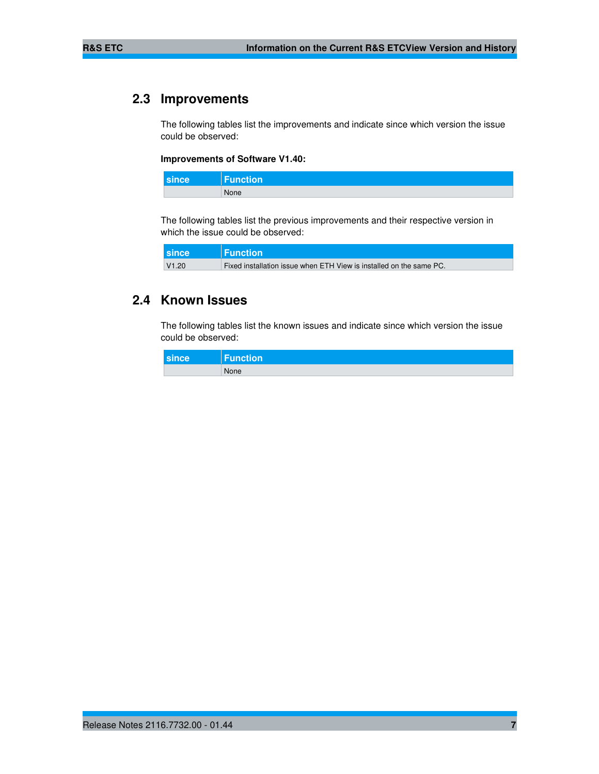# **2.3 Improvements**

The following tables list the improvements and indicate since which version the issue could be observed:

#### **Improvements of Software V1.40:**

| since | <b>Function</b> |
|-------|-----------------|
|       | None            |

The following tables list the previous improvements and their respective version in which the issue could be observed:

| since | <b>Function</b>                                                     |
|-------|---------------------------------------------------------------------|
| V1.20 | Fixed installation issue when ETH View is installed on the same PC. |

### **2.4 Known Issues**

The following tables list the known issues and indicate since which version the issue could be observed:

| since | <b>Function</b> |
|-------|-----------------|
|       | None            |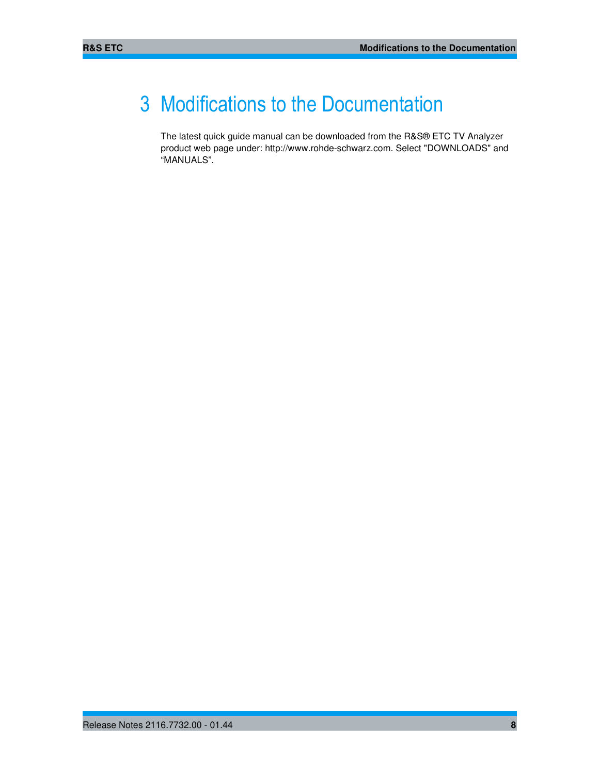# 3 Modifications to the Documentation

The latest quick guide manual can be downloaded from the R&S® ETC TV Analyzer product web page under: http://www.rohde-schwarz.com. Select "DOWNLOADS" and "MANUALS".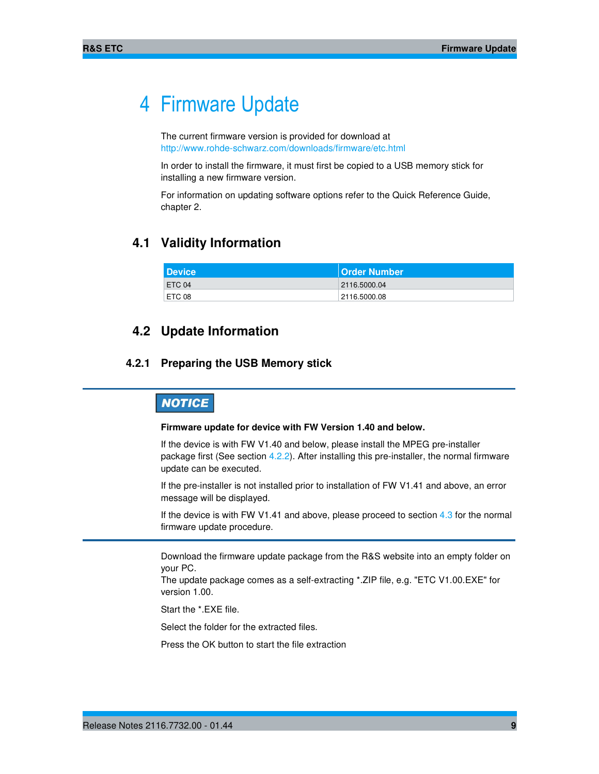# 4 Firmware Update

The current firmware version is provided for download at http://www.rohde-schwarz.com/downloads/firmware/etc.html

In order to install the firmware, it must first be copied to a USB memory stick for installing a new firmware version.

For information on updating software options refer to the Quick Reference Guide, chapter 2.

### **4.1 Validity Information**

| <b>Device</b> | <b>Order Number</b> |
|---------------|---------------------|
| ETC 04        | 2116.5000.04        |
| ETC 08        | 2116.5000.08        |

### **4.2 Update Information**

### **4.2.1 Preparing the USB Memory stick**

# **NOTICE**

#### **Firmware update for device with FW Version 1.40 and below.**

If the device is with FW V1.40 and below, please install the MPEG pre-installer package first (See section 4.2.2). After installing this pre-installer, the normal firmware update can be executed.

If the pre-installer is not installed prior to installation of FW V1.41 and above, an error message will be displayed.

If the device is with FW V1.41 and above, please proceed to section  $4.3$  for the normal firmware update procedure.

Download the firmware update package from the R&S website into an empty folder on your PC.

The update package comes as a self-extracting \*.ZIP file, e.g. "ETC V1.00.EXE" for version 1.00.

Start the \*.EXE file.

Select the folder for the extracted files.

Press the OK button to start the file extraction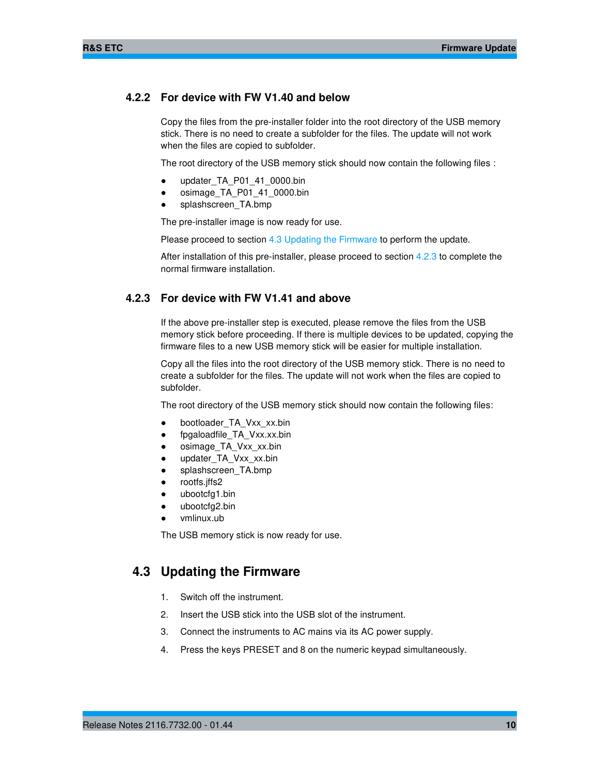### **4.2.2 For device with FW V1.40 and below**

Copy the files from the pre-installer folder into the root directory of the USB memory stick. There is no need to create a subfolder for the files. The update will not work when the files are copied to subfolder.

The root directory of the USB memory stick should now contain the following files :

- updater\_TA\_P01\_41\_0000.bin
- osimage\_TA\_P01\_41\_0000.bin
- splashscreen\_TA.bmp

The pre-installer image is now ready for use.

Please proceed to section 4.3 Updating the Firmware to perform the update.

After installation of this pre-installer, please proceed to section 4.2.3 to complete the normal firmware installation.

### **4.2.3 For device with FW V1.41 and above**

If the above pre-installer step is executed, please remove the files from the USB memory stick before proceeding. If there is multiple devices to be updated, copying the firmware files to a new USB memory stick will be easier for multiple installation.

Copy all the files into the root directory of the USB memory stick. There is no need to create a subfolder for the files. The update will not work when the files are copied to subfolder.

The root directory of the USB memory stick should now contain the following files:

- bootloader\_TA\_Vxx\_xx.bin
- fpgaloadfile\_TA\_Vxx.xx.bin
- osimage\_TA\_Vxx\_xx.bin
- updater\_TA\_Vxx\_xx.bin
- splashscreen\_TA.bmp
- rootfs.jffs2
- ubootcfg1.bin
- ubootcfg2.bin
- vmlinux.ub

The USB memory stick is now ready for use.

### **4.3 Updating the Firmware**

- 1. Switch off the instrument.
- 2. Insert the USB stick into the USB slot of the instrument.
- 3. Connect the instruments to AC mains via its AC power supply.
- 4. Press the keys PRESET and 8 on the numeric keypad simultaneously.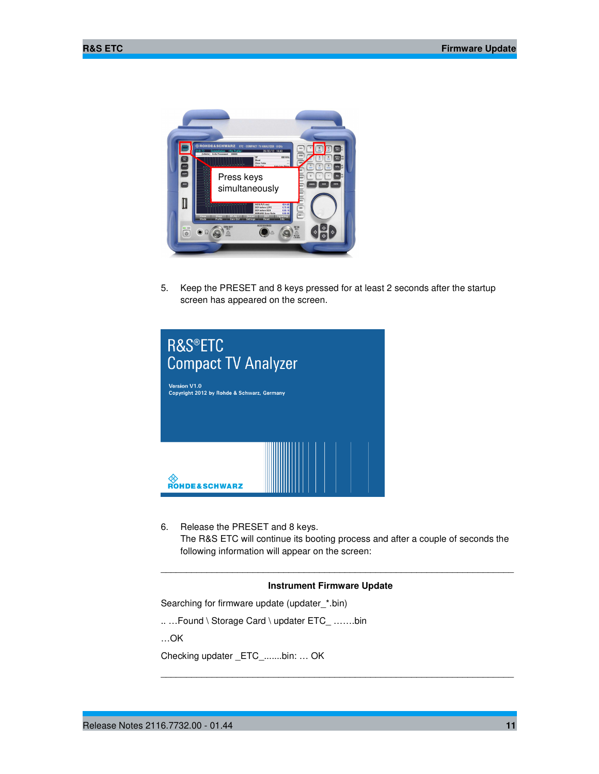

5. Keep the PRESET and 8 keys pressed for at least 2 seconds after the startup screen has appeared on the screen.



6. Release the PRESET and 8 keys. The R&S ETC will continue its booting process and after a couple of seconds the following information will appear on the screen:

\_\_\_\_\_\_\_\_\_\_\_\_\_\_\_\_\_\_\_\_\_\_\_\_\_\_\_\_\_\_\_\_\_\_\_\_\_\_\_\_\_\_\_\_\_\_\_\_\_\_\_\_\_\_\_\_\_\_\_\_\_\_\_\_\_\_\_\_\_

\_\_\_\_\_\_\_\_\_\_\_\_\_\_\_\_\_\_\_\_\_\_\_\_\_\_\_\_\_\_\_\_\_\_\_\_\_\_\_\_\_\_\_\_\_\_\_\_\_\_\_\_\_\_\_\_\_\_\_\_\_\_\_\_\_\_\_\_\_

### **Instrument Firmware Update**

Searching for firmware update (updater\_\*.bin)

.. …Found \ Storage Card \ updater ETC\_ …….bin

…OK

Checking updater \_ETC\_.......bin: … OK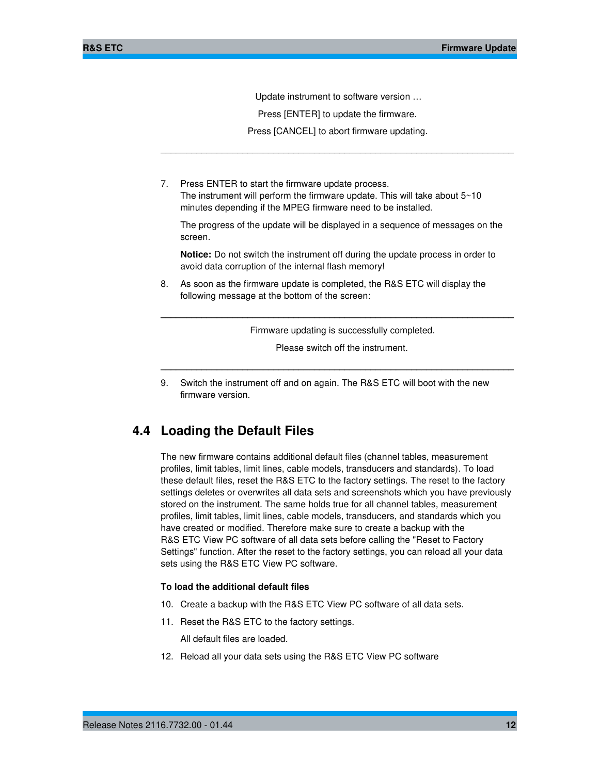Update instrument to software version …

Press [ENTER] to update the firmware.

 Press [CANCEL] to abort firmware updating. \_\_\_\_\_\_\_\_\_\_\_\_\_\_\_\_\_\_\_\_\_\_\_\_\_\_\_\_\_\_\_\_\_\_\_\_\_\_\_\_\_\_\_\_\_\_\_\_\_\_\_\_\_\_\_\_\_\_\_\_\_\_\_\_\_\_\_\_\_

7. Press ENTER to start the firmware update process. The instrument will perform the firmware update. This will take about  $5~10$ minutes depending if the MPEG firmware need to be installed.

The progress of the update will be displayed in a sequence of messages on the screen.

**Notice:** Do not switch the instrument off during the update process in order to avoid data corruption of the internal flash memory!

8. As soon as the firmware update is completed, the R&S ETC will display the following message at the bottom of the screen:

Firmware updating is successfully completed.

**\_\_\_\_\_\_\_\_\_\_\_\_\_\_\_\_\_\_\_\_\_\_\_\_\_\_\_\_\_\_\_\_\_\_\_\_\_\_\_\_\_\_\_\_\_\_\_\_\_\_\_\_\_\_\_\_\_\_\_\_\_\_\_\_\_\_\_\_\_**

Please switch off the instrument.

**\_\_\_\_\_\_\_\_\_\_\_\_\_\_\_\_\_\_\_\_\_\_\_\_\_\_\_\_\_\_\_\_\_\_\_\_\_\_\_\_\_\_\_\_\_\_\_\_\_\_\_\_\_\_\_\_\_\_\_\_\_\_\_\_\_\_\_\_\_**

9. Switch the instrument off and on again. The R&S ETC will boot with the new firmware version.

### **4.4 Loading the Default Files**

The new firmware contains additional default files (channel tables, measurement profiles, limit tables, limit lines, cable models, transducers and standards). To load these default files, reset the R&S ETC to the factory settings. The reset to the factory settings deletes or overwrites all data sets and screenshots which you have previously stored on the instrument. The same holds true for all channel tables, measurement profiles, limit tables, limit lines, cable models, transducers, and standards which you have created or modified. Therefore make sure to create a backup with the R&S ETC View PC software of all data sets before calling the "Reset to Factory Settings" function. After the reset to the factory settings, you can reload all your data sets using the R&S ETC View PC software.

### **To load the additional default files**

- 10. Create a backup with the R&S ETC View PC software of all data sets.
- 11. Reset the R&S ETC to the factory settings.

All default files are loaded.

12. Reload all your data sets using the R&S ETC View PC software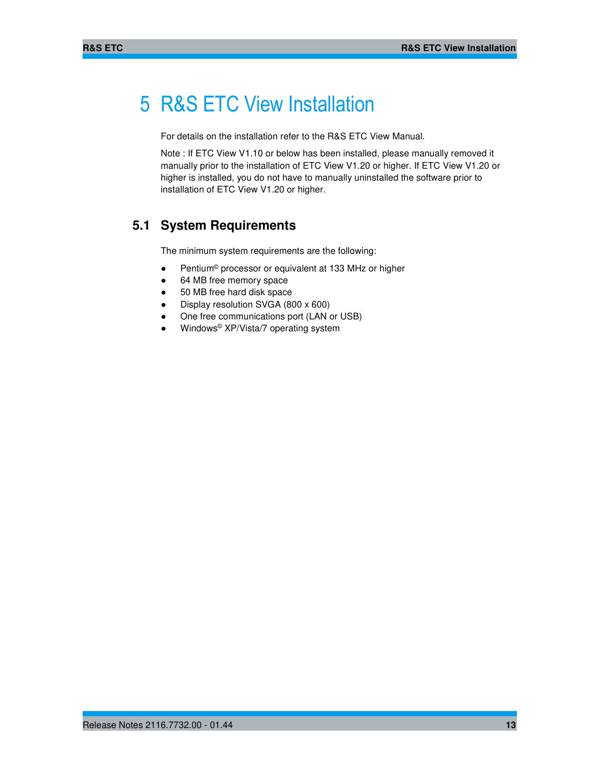# 5 R&S ETC View Installation

For details on the installation refer to the R&S ETC View Manual.

Note : If ETC View V1.10 or below has been installed, please manually removed it manually prior to the installation of ETC View V1.20 or higher. If ETC View V1.20 or higher is installed, you do not have to manually uninstalled the software prior to installation of ETC View V1.20 or higher.

## **5.1 System Requirements**

The minimum system requirements are the following:

- Pentium<sup>®</sup> processor or equivalent at 133 MHz or higher
- 64 MB free memory space
- 50 MB free hard disk space
- Display resolution SVGA (800 x 600)
- One free communications port (LAN or USB)
- Windows<sup>®</sup> XP/Vista/7 operating system